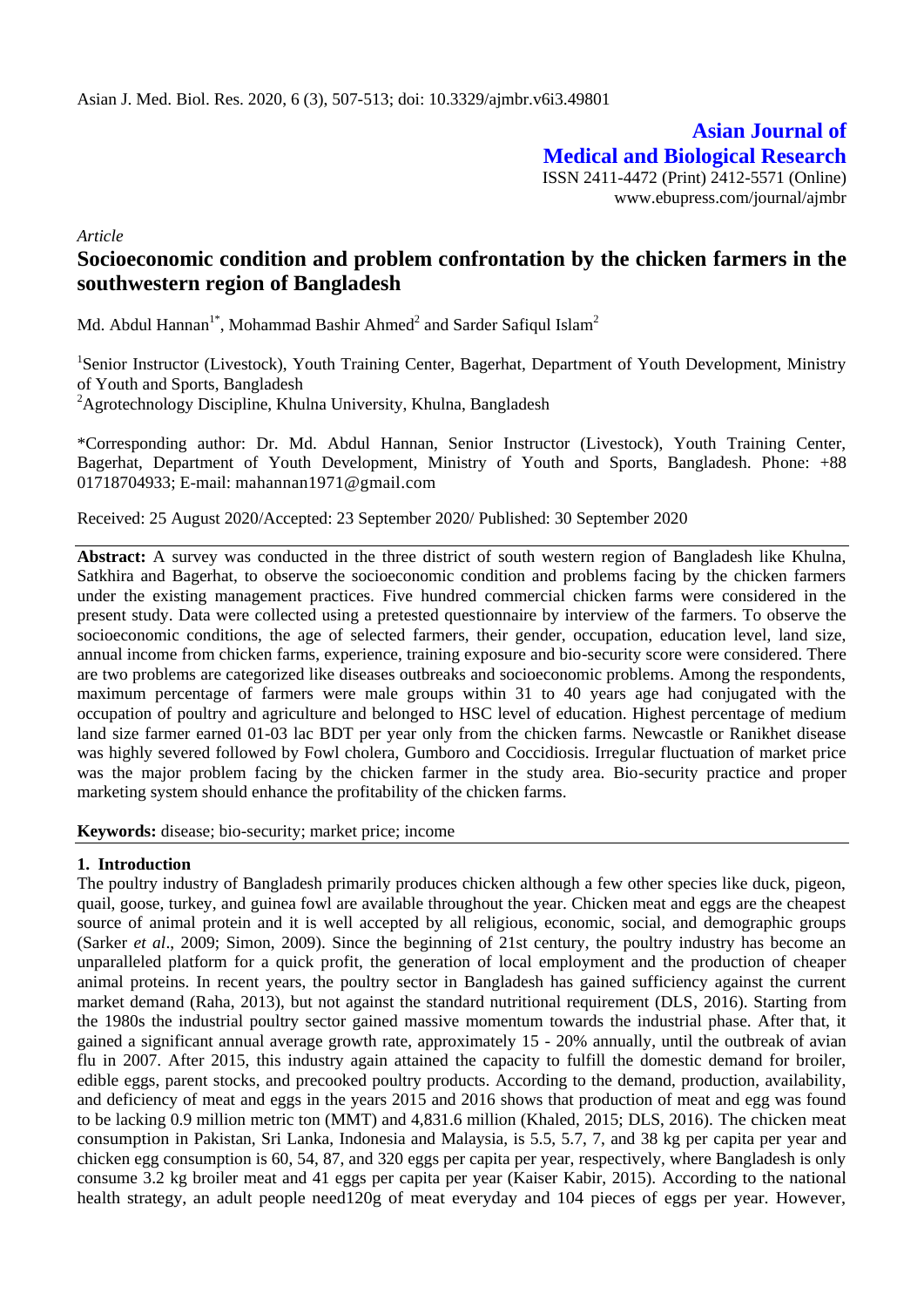**Asian Journal of Medical and Biological Research**

ISSN 2411-4472 (Print) 2412-5571 (Online) www.ebupress.com/journal/ajmbr

*Article*

# **Socioeconomic condition and problem confrontation by the chicken farmers in the southwestern region of Bangladesh**

Md. Abdul Hannan<sup>1\*</sup>, Mohammad Bashir Ahmed<sup>2</sup> and Sarder Safiqul Islam<sup>2</sup>

<sup>1</sup>Senior Instructor (Livestock), Youth Training Center, Bagerhat, Department of Youth Development, Ministry of Youth and Sports, Bangladesh  ${}^{2}$ Agrotechnology Discipline, Khulna University, Khulna, Bangladesh

\*Corresponding author: Dr. Md. Abdul Hannan, Senior Instructor (Livestock), Youth Training Center, Bagerhat, Department of Youth Development, Ministry of Youth and Sports, Bangladesh. Phone: +88 01718704933; E-mail: mahannan1971@gmail.com

Received: 25 August 2020/Accepted: 23 September 2020/ Published: 30 September 2020

**Abstract:** A survey was conducted in the three district of south western region of Bangladesh like Khulna, Satkhira and Bagerhat, to observe the socioeconomic condition and problems facing by the chicken farmers under the existing management practices. Five hundred commercial chicken farms were considered in the present study. Data were collected using a pretested questionnaire by interview of the farmers. To observe the socioeconomic conditions, the age of selected farmers, their gender, occupation, education level, land size, annual income from chicken farms, experience, training exposure and bio-security score were considered. There are two problems are categorized like diseases outbreaks and socioeconomic problems. Among the respondents, maximum percentage of farmers were male groups within 31 to 40 years age had conjugated with the occupation of poultry and agriculture and belonged to HSC level of education. Highest percentage of medium land size farmer earned 01-03 lac BDT per year only from the chicken farms. Newcastle or Ranikhet disease was highly severed followed by Fowl cholera, Gumboro and Coccidiosis. Irregular fluctuation of market price was the major problem facing by the chicken farmer in the study area. Bio-security practice and proper marketing system should enhance the profitability of the chicken farms.

**Keywords:** disease; bio-security; market price; income

## **1. Introduction**

The poultry industry of Bangladesh primarily produces chicken although a few other species like duck, pigeon, quail, goose, turkey, and guinea fowl are available throughout the year. Chicken meat and eggs are the cheapest source of animal protein and it is well accepted by all religious, economic, social, and demographic groups (Sarker *et al*., 2009; Simon, 2009). Since the beginning of 21st century, the poultry industry has become an unparalleled platform for a quick profit, the generation of local employment and the production of cheaper animal proteins. In recent years, the poultry sector in Bangladesh has gained sufficiency against the current market demand (Raha, 2013), but not against the standard nutritional requirement (DLS, 2016). Starting from the 1980s the industrial poultry sector gained massive momentum towards the industrial phase. After that, it gained a significant annual average growth rate, approximately 15 - 20% annually, until the outbreak of avian flu in 2007. After 2015, this industry again attained the capacity to fulfill the domestic demand for broiler, edible eggs, parent stocks, and precooked poultry products. According to the demand, production, availability, and deficiency of meat and eggs in the years 2015 and 2016 shows that production of meat and egg was found to be lacking 0.9 million metric ton (MMT) and 4,831.6 million (Khaled, 2015; DLS, 2016). The chicken meat consumption in Pakistan, Sri Lanka, Indonesia and Malaysia, is 5.5, 5.7, 7, and 38 kg per capita per year and chicken egg consumption is 60, 54, 87, and 320 eggs per capita per year, respectively, where Bangladesh is only consume 3.2 kg broiler meat and 41 eggs per capita per year (Kaiser Kabir, 2015). According to the national health strategy, an adult people need120g of meat everyday and 104 pieces of eggs per year. However,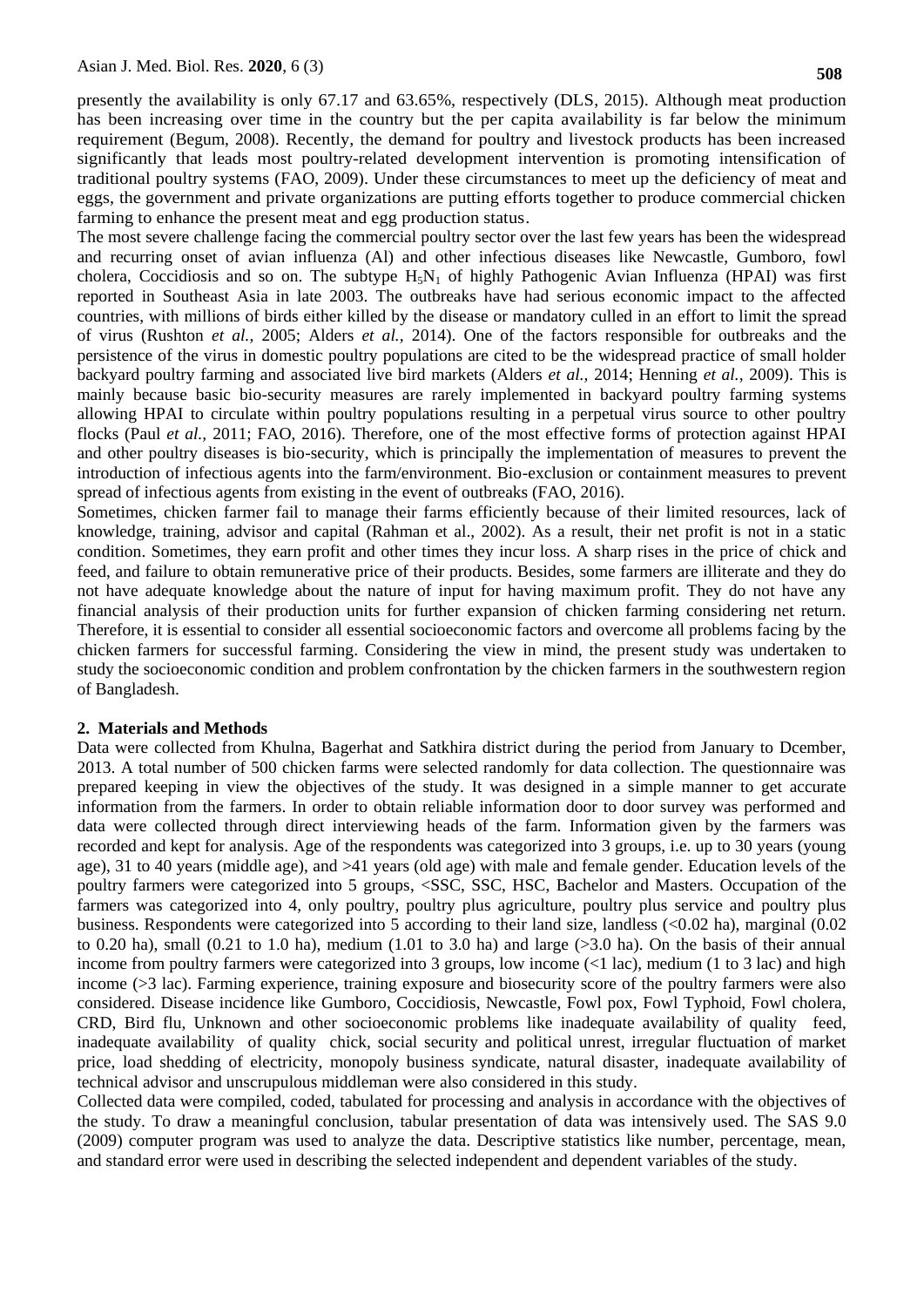presently the availability is only 67.17 and 63.65%, respectively (DLS, 2015). Although meat production has been increasing over time in the country but the per capita availability is far below the minimum requirement (Begum, 2008). Recently, the demand for poultry and livestock products has been increased significantly that leads most poultry-related development intervention is promoting intensification of traditional poultry systems (FAO, 2009). Under these circumstances to meet up the deficiency of meat and eggs, the government and private organizations are putting efforts together to produce commercial chicken farming to enhance the present meat and egg production status.

The most severe challenge facing the commercial poultry sector over the last few years has been the widespread and recurring onset of avian influenza (Al) and other infectious diseases like Newcastle, Gumboro, fowl cholera, Coccidiosis and so on. The subtype  $H_5N_1$  of highly Pathogenic Avian Influenza (HPAI) was first reported in Southeast Asia in late 2003. The outbreaks have had serious economic impact to the affected countries, with millions of birds either killed by the disease or mandatory culled in an effort to limit the spread of virus (Rushton *et al.,* 2005; Alders *et al.,* 2014). One of the factors responsible for outbreaks and the persistence of the virus in domestic poultry populations are cited to be the widespread practice of small holder backyard poultry farming and associated live bird markets (Alders *et al.,* 2014; Henning *et al.,* 2009). This is mainly because basic bio-security measures are rarely implemented in backyard poultry farming systems allowing HPAI to circulate within poultry populations resulting in a perpetual virus source to other poultry flocks (Paul *et al.,* 2011; FAO, 2016). Therefore, one of the most effective forms of protection against HPAI and other poultry diseases is bio-security, which is principally the implementation of measures to prevent the introduction of infectious agents into the farm/environment. Bio-exclusion or containment measures to prevent spread of infectious agents from existing in the event of outbreaks (FAO, 2016).

Sometimes, chicken farmer fail to manage their farms efficiently because of their limited resources, lack of knowledge, training, advisor and capital (Rahman et al., 2002). As a result, their net profit is not in a static condition. Sometimes, they earn profit and other times they incur loss. A sharp rises in the price of chick and feed, and failure to obtain remunerative price of their products. Besides, some farmers are illiterate and they do not have adequate knowledge about the nature of input for having maximum profit. They do not have any financial analysis of their production units for further expansion of chicken farming considering net return. Therefore, it is essential to consider all essential socioeconomic factors and overcome all problems facing by the chicken farmers for successful farming. Considering the view in mind, the present study was undertaken to study the socioeconomic condition and problem confrontation by the chicken farmers in the southwestern region of Bangladesh.

## **2. Materials and Methods**

Data were collected from Khulna, Bagerhat and Satkhira district during the period from January to Dcember, 2013. A total number of 500 chicken farms were selected randomly for data collection. The questionnaire was prepared keeping in view the objectives of the study. It was designed in a simple manner to get accurate information from the farmers. In order to obtain reliable information door to door survey was performed and data were collected through direct interviewing heads of the farm. Information given by the farmers was recorded and kept for analysis. Age of the respondents was categorized into 3 groups, i.e. up to 30 years (young age), 31 to 40 years (middle age), and >41 years (old age) with male and female gender. Education levels of the poultry farmers were categorized into 5 groups, <SSC, SSC, HSC, Bachelor and Masters. Occupation of the farmers was categorized into 4, only poultry, poultry plus agriculture, poultry plus service and poultry plus business. Respondents were categorized into 5 according to their land size, landless (<0.02 ha), marginal (0.02 to 0.20 ha), small (0.21 to 1.0 ha), medium (1.01 to 3.0 ha) and large  $(>3.0$  ha). On the basis of their annual income from poultry farmers were categorized into 3 groups, low income (<1 lac), medium (1 to 3 lac) and high income (>3 lac). Farming experience, training exposure and biosecurity score of the poultry farmers were also considered. Disease incidence like Gumboro, Coccidiosis, Newcastle, Fowl pox, Fowl Typhoid, Fowl cholera, CRD, Bird flu, Unknown and other socioeconomic problems like inadequate availability of quality feed, inadequate availability of quality chick, social security and political unrest, irregular fluctuation of market price, load shedding of electricity, monopoly business syndicate, natural disaster, inadequate availability of technical advisor and unscrupulous middleman were also considered in this study.

Collected data were compiled, coded, tabulated for processing and analysis in accordance with the objectives of the study. To draw a meaningful conclusion, tabular presentation of data was intensively used. The SAS 9.0 (2009) computer program was used to analyze the data. Descriptive statistics like number, percentage, mean, and standard error were used in describing the selected independent and dependent variables of the study.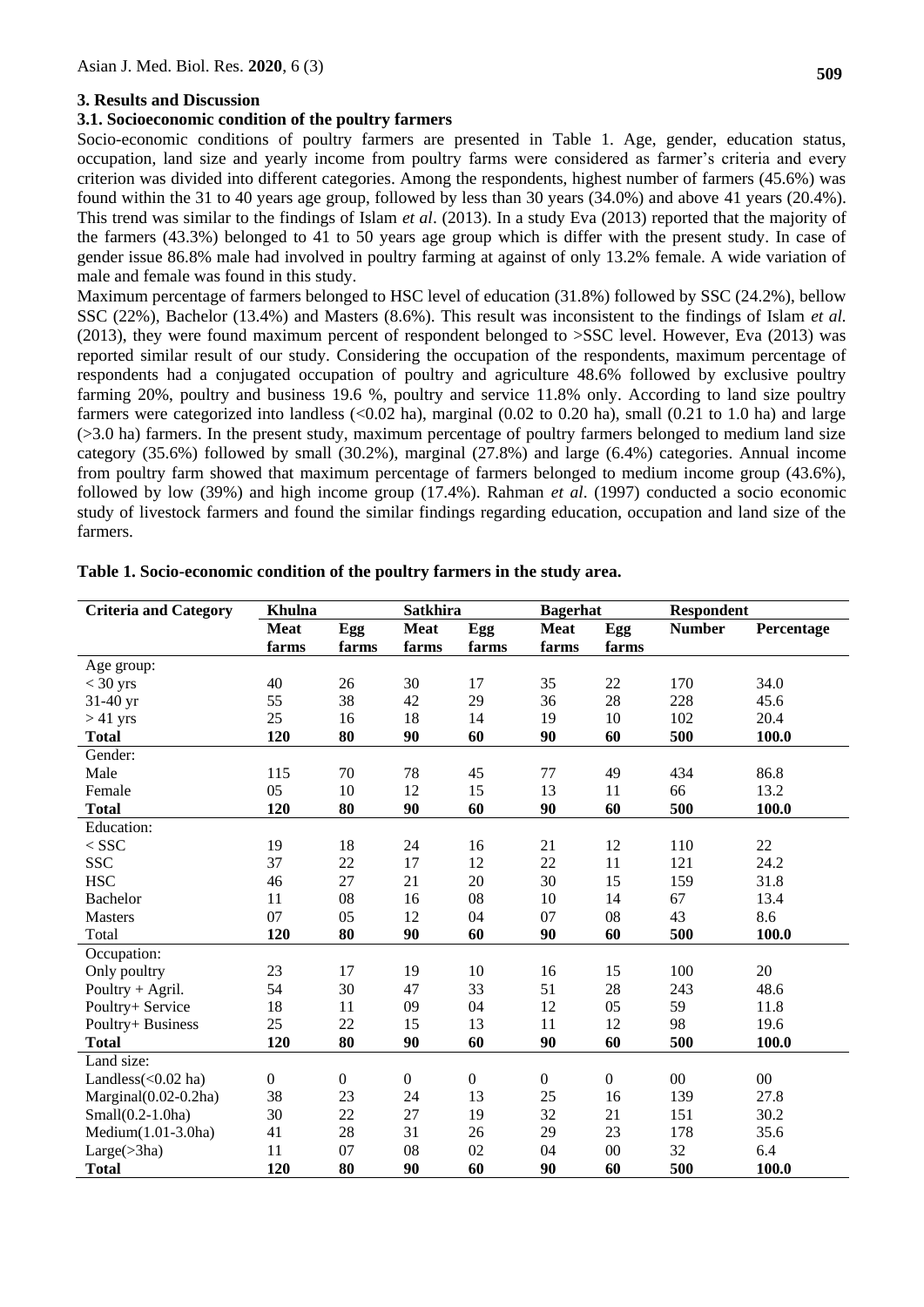#### **3. Results and Discussion**

#### **3.1. Socioeconomic condition of the poultry farmers**

Socio-economic conditions of poultry farmers are presented in Table 1. Age, gender, education status, occupation, land size and yearly income from poultry farms were considered as farmer's criteria and every criterion was divided into different categories. Among the respondents, highest number of farmers (45.6%) was found within the 31 to 40 years age group, followed by less than 30 years (34.0%) and above 41 years (20.4%). This trend was similar to the findings of Islam *et al*. (2013). In a study Eva (2013) reported that the majority of the farmers (43.3%) belonged to 41 to 50 years age group which is differ with the present study. In case of gender issue 86.8% male had involved in poultry farming at against of only 13.2% female. A wide variation of male and female was found in this study.

Maximum percentage of farmers belonged to HSC level of education (31.8%) followed by SSC (24.2%), bellow SSC (22%), Bachelor (13.4%) and Masters (8.6%). This result was inconsistent to the findings of Islam *et al.* (2013), they were found maximum percent of respondent belonged to >SSC level. However, Eva (2013) was reported similar result of our study. Considering the occupation of the respondents, maximum percentage of respondents had a conjugated occupation of poultry and agriculture 48.6% followed by exclusive poultry farming 20%, poultry and business 19.6 %, poultry and service 11.8% only. According to land size poultry farmers were categorized into landless  $\langle 0.02 \text{ ha} \rangle$ , marginal  $(0.02 \text{ to } 0.20 \text{ ha})$ , small  $(0.21 \text{ to } 1.0 \text{ ha})$  and large (>3.0 ha) farmers. In the present study, maximum percentage of poultry farmers belonged to medium land size category (35.6%) followed by small (30.2%), marginal (27.8%) and large (6.4%) categories. Annual income from poultry farm showed that maximum percentage of farmers belonged to medium income group (43.6%), followed by low (39%) and high income group (17.4%). Rahman *et al*. (1997) conducted a socio economic study of livestock farmers and found the similar findings regarding education, occupation and land size of the farmers.

| <b>Criteria and Category</b> | Khulna           |                  | <b>Satkhira</b>  |                  | <b>Bagerhat</b> |                  | <b>Respondent</b> |            |  |  |
|------------------------------|------------------|------------------|------------------|------------------|-----------------|------------------|-------------------|------------|--|--|
|                              | <b>Meat</b>      | Egg              | <b>Meat</b>      | Egg              | <b>Meat</b>     | Egg              | <b>Number</b>     | Percentage |  |  |
|                              | farms            | farms            | farms            | farms            | farms           | farms            |                   |            |  |  |
| Age group:                   |                  |                  |                  |                  |                 |                  |                   |            |  |  |
| $<$ 30 yrs                   | 40               | 26               | 30               | 17               | 35              | 22               | 170               | 34.0       |  |  |
| 31-40 yr                     | 55               | 38               | 42               | 29               | 36              | 28               | 228               | 45.6       |  |  |
| $>41$ yrs                    | 25               | 16               | 18               | 14               | 19              | 10               | 102               | 20.4       |  |  |
| <b>Total</b>                 | 120              | 80               | 90               | 60               | 90              | 60               | 500               | 100.0      |  |  |
| Gender:                      |                  |                  |                  |                  |                 |                  |                   |            |  |  |
| Male                         | 115              | 70               | 78               | 45               | 77              | 49               | 434               | 86.8       |  |  |
| Female                       | 05               | 10               | 12               | 15               | 13              | 11               | 66                | 13.2       |  |  |
| <b>Total</b>                 | 120              | 80               | 90               | 60               | 90              | 60               | 500               | 100.0      |  |  |
| Education:                   |                  |                  |                  |                  |                 |                  |                   |            |  |  |
| $<$ SSC                      | 19               | 18               | 24               | 16               | 21              | 12               | 110               | 22         |  |  |
| <b>SSC</b>                   | 37               | 22               | 17               | 12               | 22              | 11               | 121               | 24.2       |  |  |
| <b>HSC</b>                   | 46               | 27               | 21               | 20               | 30              | 15               | 159               | 31.8       |  |  |
| <b>Bachelor</b>              | 11               | 08               | 16               | 08               | 10              | 14               | 67                | 13.4       |  |  |
| <b>Masters</b>               | 07               | 05               | 12               | 04               | 07              | 08               | 43                | 8.6        |  |  |
| Total                        | 120              | 80               | 90               | 60               | 90              | 60               | 500               | 100.0      |  |  |
| Occupation:                  |                  |                  |                  |                  |                 |                  |                   |            |  |  |
| Only poultry                 | 23               | 17               | 19               | 10               | 16              | 15               | 100               | 20         |  |  |
| Poultry $+$ Agril.           | 54               | 30               | 47               | 33               | 51              | $28\,$           | 243               | 48.6       |  |  |
| Poultry+ Service             | 18               | 11               | 09               | 04               | 12              | 05               | 59                | 11.8       |  |  |
| Poultry+ Business            | 25               | 22               | 15               | 13               | 11              | 12               | 98                | 19.6       |  |  |
| <b>Total</b>                 | 120              | 80               | 90               | 60               | 90              | 60               | 500               | 100.0      |  |  |
| Land size:                   |                  |                  |                  |                  |                 |                  |                   |            |  |  |
| Landless $(<0.02$ ha)        | $\boldsymbol{0}$ | $\boldsymbol{0}$ | $\boldsymbol{0}$ | $\boldsymbol{0}$ | $\overline{0}$  | $\boldsymbol{0}$ | $00\,$            | $00\,$     |  |  |
| Marginal(0.02-0.2ha)         | 38               | 23               | 24               | 13               | 25              | 16               | 139               | 27.8       |  |  |
| $Small(0.2-1.0ha)$           | 30               | 22               | 27               | 19               | 32              | 21               | 151               | 30.2       |  |  |
| Medium(1.01-3.0ha)           | 41               | 28               | 31               | 26               | 29              | 23               | 178               | 35.6       |  |  |
| Large( > 3ha)                | 11               | 07               | 08               | 02               | 04              | $00\,$           | 32                | 6.4        |  |  |
| <b>Total</b>                 | 120              | 80               | 90               | 60               | 90              | 60               | 500               | 100.0      |  |  |

#### **Table 1. Socio-economic condition of the poultry farmers in the study area.**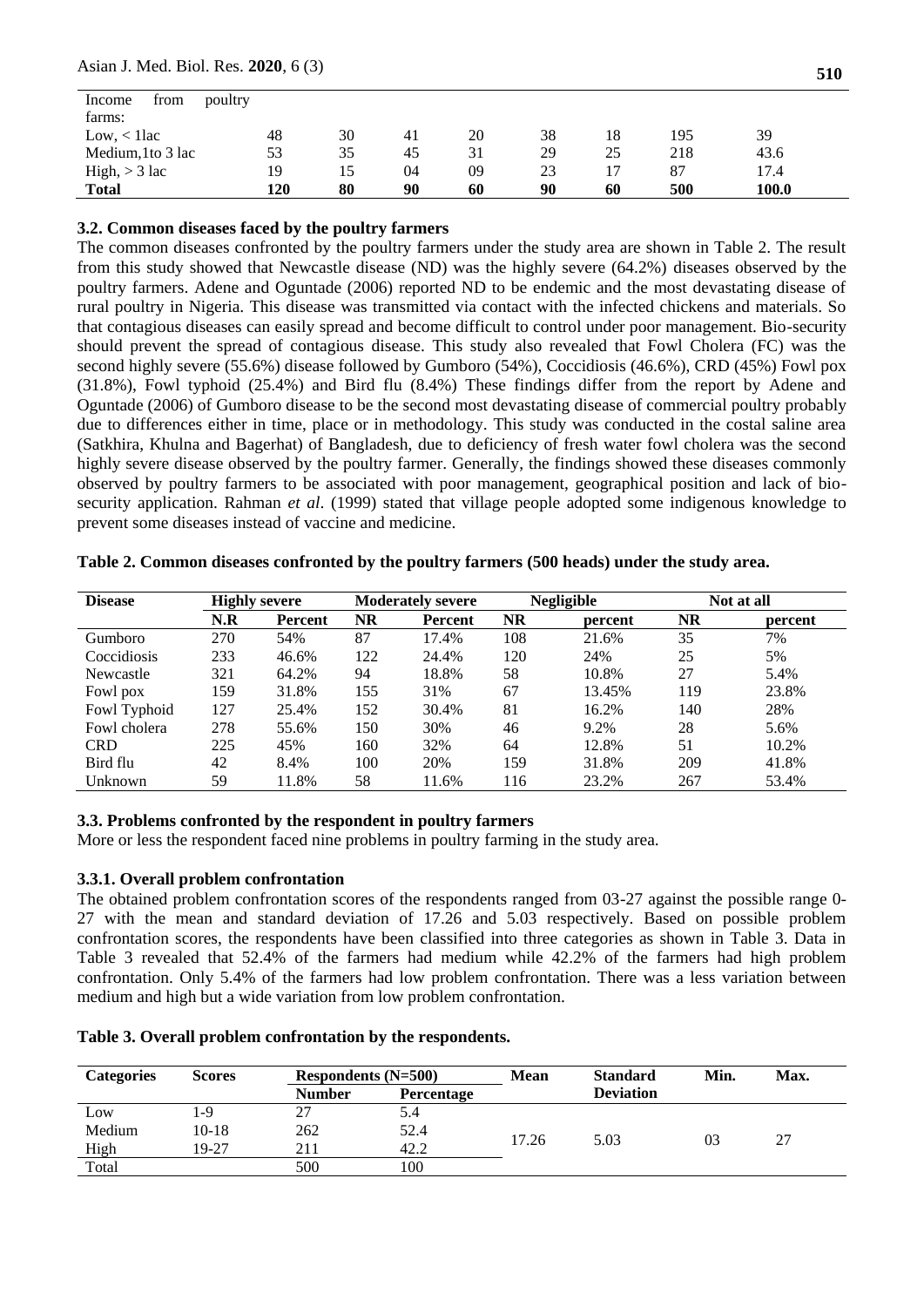#### Asian J. Med. Biol. Res. **2020**, 6 (3)

| from<br>Income<br>farms: | poultry |    |    |    |    |    |     |       |  |
|--------------------------|---------|----|----|----|----|----|-----|-------|--|
| Low, < 11ac              | 48      | 30 | 41 | 20 | 38 | 18 | 195 | 39    |  |
| Medium, 1 to 3 lac       | 53      | 35 | 45 | 31 | 29 | 25 | 218 | 43.6  |  |
| $High, > 3$ lac          | 19      | 15 | 04 | 09 | 23 | 17 | 87  | 17.4  |  |
| <b>Total</b>             | 120     | 80 | 90 | 60 | 90 | 60 | 500 | 100.0 |  |

#### **3.2. Common diseases faced by the poultry farmers**

The common diseases confronted by the poultry farmers under the study area are shown in Table 2. The result from this study showed that Newcastle disease (ND) was the highly severe (64.2%) diseases observed by the poultry farmers. Adene and Oguntade (2006) reported ND to be endemic and the most devastating disease of rural poultry in Nigeria. This disease was transmitted via contact with the infected chickens and materials. So that contagious diseases can easily spread and become difficult to control under poor management. Bio-security should prevent the spread of contagious disease. This study also revealed that Fowl Cholera (FC) was the second highly severe (55.6%) disease followed by Gumboro (54%), Coccidiosis (46.6%), CRD (45%) Fowl pox (31.8%), Fowl typhoid (25.4%) and Bird flu (8.4%) These findings differ from the report by Adene and Oguntade (2006) of Gumboro disease to be the second most devastating disease of commercial poultry probably due to differences either in time, place or in methodology. This study was conducted in the costal saline area (Satkhira, Khulna and Bagerhat) of Bangladesh, due to deficiency of fresh water fowl cholera was the second highly severe disease observed by the poultry farmer. Generally, the findings showed these diseases commonly observed by poultry farmers to be associated with poor management, geographical position and lack of biosecurity application. Rahman *et al*. (1999) stated that village people adopted some indigenous knowledge to prevent some diseases instead of vaccine and medicine.

| <b>Disease</b> |     | <b>Highly severe</b> |           | <b>Moderately severe</b> | <b>Negligible</b> |         |           | Not at all |
|----------------|-----|----------------------|-----------|--------------------------|-------------------|---------|-----------|------------|
|                | N.R | <b>Percent</b>       | <b>NR</b> | Percent                  | <b>NR</b>         | percent | <b>NR</b> | percent    |
| Gumboro        | 270 | 54%                  | 87        | 17.4%                    | 108               | 21.6%   | 35        | 7%         |
| Coccidiosis    | 233 | 46.6%                | 122       | 24.4%                    | 120               | 24%     | 25        | 5%         |
| Newcastle      | 321 | 64.2%                | 94        | 18.8%                    | 58                | 10.8%   | 27        | 5.4%       |
| Fowl pox       | 159 | 31.8%                | 155       | 31%                      | 67                | 13.45%  | 119       | 23.8%      |
| Fowl Typhoid   | 127 | 25.4%                | 152       | 30.4%                    | 81                | 16.2%   | 140       | 28%        |
| Fowl cholera   | 278 | 55.6%                | 150       | 30%                      | 46                | 9.2%    | 28        | 5.6%       |
| <b>CRD</b>     | 225 | 45%                  | 160       | 32%                      | 64                | 12.8%   | 51        | 10.2%      |
| Bird flu       | 42  | 8.4%                 | 100       | 20%                      | 159               | 31.8%   | 209       | 41.8%      |
| Unknown        | 59  | 11.8%                | 58        | 11.6%                    | 116               | 23.2%   | 267       | 53.4%      |

**Table 2. Common diseases confronted by the poultry farmers (500 heads) under the study area.**

# **3.3. Problems confronted by the respondent in poultry farmers**

More or less the respondent faced nine problems in poultry farming in the study area.

# **3.3.1. Overall problem confrontation**

The obtained problem confrontation scores of the respondents ranged from 03-27 against the possible range 0- 27 with the mean and standard deviation of 17.26 and 5.03 respectively. Based on possible problem confrontation scores, the respondents have been classified into three categories as shown in Table 3. Data in Table 3 revealed that 52.4% of the farmers had medium while 42.2% of the farmers had high problem confrontation. Only 5.4% of the farmers had low problem confrontation. There was a less variation between medium and high but a wide variation from low problem confrontation.

|  |  |  |  | Table 3. Overall problem confrontation by the respondents. |
|--|--|--|--|------------------------------------------------------------|
|--|--|--|--|------------------------------------------------------------|

| <b>Categories</b> | <b>Scores</b> | Respondents $(N=500)$ |            | <b>Mean</b> | <b>Standard</b>  | Min. | Max. |
|-------------------|---------------|-----------------------|------------|-------------|------------------|------|------|
|                   |               | <b>Number</b>         | Percentage |             | <b>Deviation</b> |      |      |
| Low               | -9            | 27                    | 5.4        |             |                  |      |      |
| Medium            | $10 - 18$     | 262                   | 52.4       |             |                  |      |      |
| High              | 19-27         | 211                   | 42.2       | 17.26       | 5.03             | 03   | 27   |
| Total             |               | 500                   | 100        |             |                  |      |      |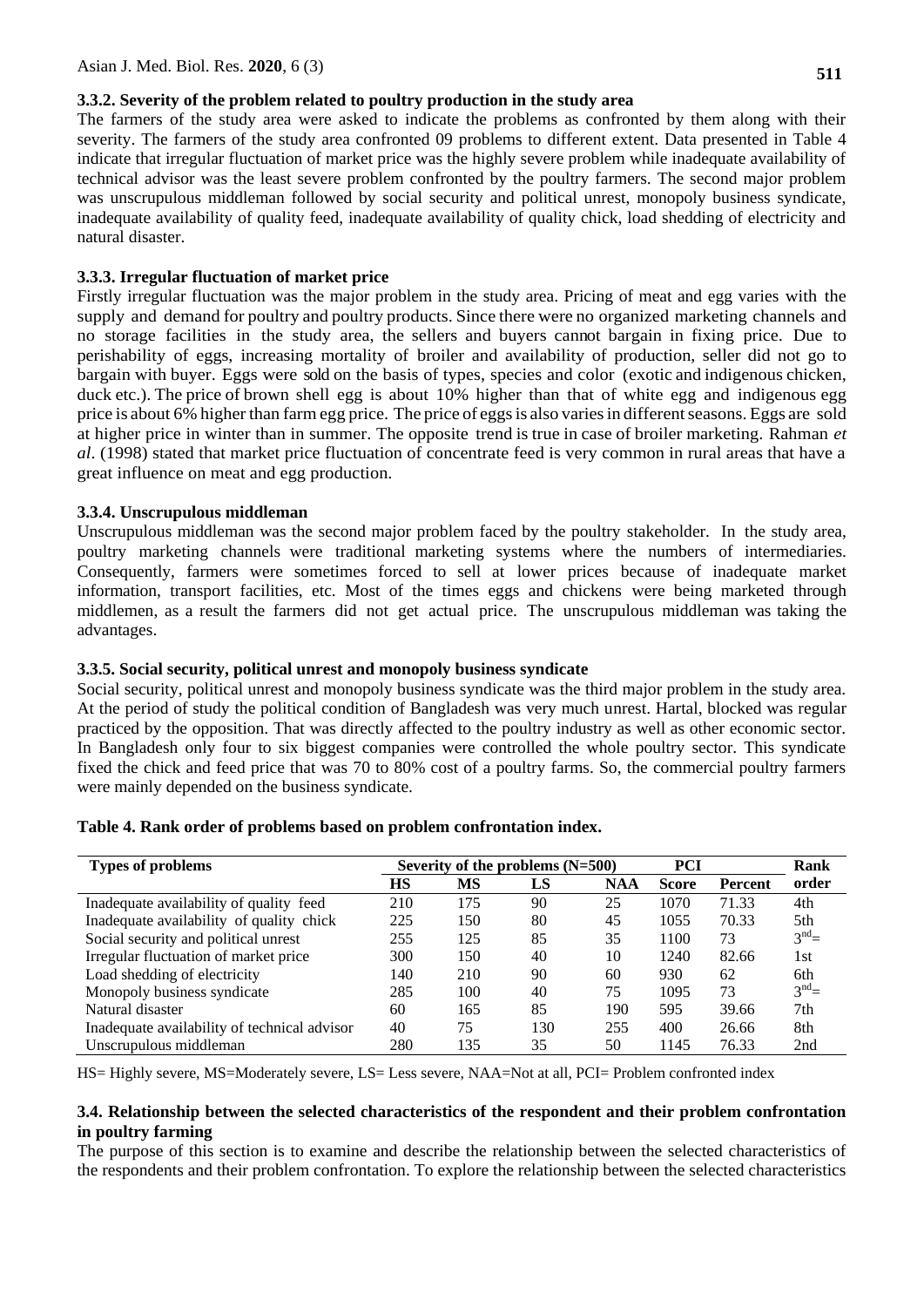# **3.3.2. Severity of the problem related to poultry production in the study area**

The farmers of the study area were asked to indicate the problems as confronted by them along with their severity. The farmers of the study area confronted 09 problems to different extent. Data presented in Table 4 indicate that irregular fluctuation of market price was the highly severe problem while inadequate availability of technical advisor was the least severe problem confronted by the poultry farmers. The second major problem was unscrupulous middleman followed by social security and political unrest, monopoly business syndicate, inadequate availability of quality feed, inadequate availability of quality chick, load shedding of electricity and natural disaster.

# **3.3.3. Irregular fluctuation of market price**

Firstly irregular fluctuation was the major problem in the study area. Pricing of meat and egg varies with the supply and demand for poultry and poultry products. Since there were no organized marketing channels and no storage facilities in the study area, the sellers and buyers cannot bargain in fixing price. Due to perishability of eggs, increasing mortality of broiler and availability of production, seller did not go to bargain with buyer. Eggs were sold on the basis of types, species and color (exotic and indigenous chicken, duck etc.). The price of brown shell egg is about 10% higher than that of white egg and indigenous egg price is about 6% higher than farm egg price. The price of eggs is also varies in different seasons. Eggs are sold at higher price in winter than in summer. The opposite trend is true in case of broiler marketing. Rahman *et al*. (1998) stated that market price fluctuation of concentrate feed is very common in rural areas that have a great influence on meat and egg production.

# **3.3.4. Unscrupulous middleman**

Unscrupulous middleman was the second major problem faced by the poultry stakeholder. In the study area, poultry marketing channels were traditional marketing systems where the numbers of intermediaries. Consequently, farmers were sometimes forced to sell at lower prices because of inadequate market information, transport facilities, etc. Most of the times eggs and chickens were being marketed through middlemen, as a result the farmers did not get actual price. The unscrupulous middleman was taking the advantages.

# **3.3.5. Social security, political unrest and monopoly business syndicate**

Social security, political unrest and monopoly business syndicate was the third major problem in the study area. At the period of study the political condition of Bangladesh was very much unrest. Hartal, blocked was regular practiced by the opposition. That was directly affected to the poultry industry as well as other economic sector. In Bangladesh only four to six biggest companies were controlled the whole poultry sector. This syndicate fixed the chick and feed price that was 70 to 80% cost of a poultry farms. So, the commercial poultry farmers were mainly depended on the business syndicate.

| <b>Types of problems</b>                     |     |           | Severity of the problems $(N=500)$ | <b>PCI</b> | Rank         |         |                   |
|----------------------------------------------|-----|-----------|------------------------------------|------------|--------------|---------|-------------------|
|                                              | HS  | <b>MS</b> | LS                                 | <b>NAA</b> | <b>Score</b> | Percent | order             |
| Inadequate availability of quality feed      | 210 | 175       | 90                                 | 25         | 1070         | 71.33   | 4th               |
| Inadequate availability of quality chick     | 225 | 150       | 80                                 | 45         | 1055         | 70.33   | 5th               |
| Social security and political unrest         | 255 | 125       | 85                                 | 35         | 1100         | 73      | $3^{\text{nd}}$ = |
| Irregular fluctuation of market price        | 300 | 150       | 40                                 | 10         | 1240         | 82.66   | 1st               |
| Load shedding of electricity                 | 140 | 210       | 90                                 | 60         | 930          | 62      | 6th               |
| Monopoly business syndicate                  | 285 | 100       | 40                                 | 75         | 1095         | 73      | $3^{nd}$          |
| Natural disaster                             | 60  | 165       | 85                                 | 190        | 595          | 39.66   | 7th               |
| Inadequate availability of technical advisor | 40  | 75        | 130                                | 255        | 400          | 26.66   | 8th               |
| Unscrupulous middleman                       | 280 | 135       | 35                                 | 50         | 1145         | 76.33   | 2nd               |

## **Table 4. Rank order of problems based on problem confrontation index.**

HS= Highly severe, MS=Moderately severe, LS= Less severe, NAA=Not at all, PCI= Problem confronted index

## **3.4. Relationship between the selected characteristics of the respondent and their problem confrontation in poultry farming**

The purpose of this section is to examine and describe the relationship between the selected characteristics of the respondents and their problem confrontation. To explore the relationship between the selected characteristics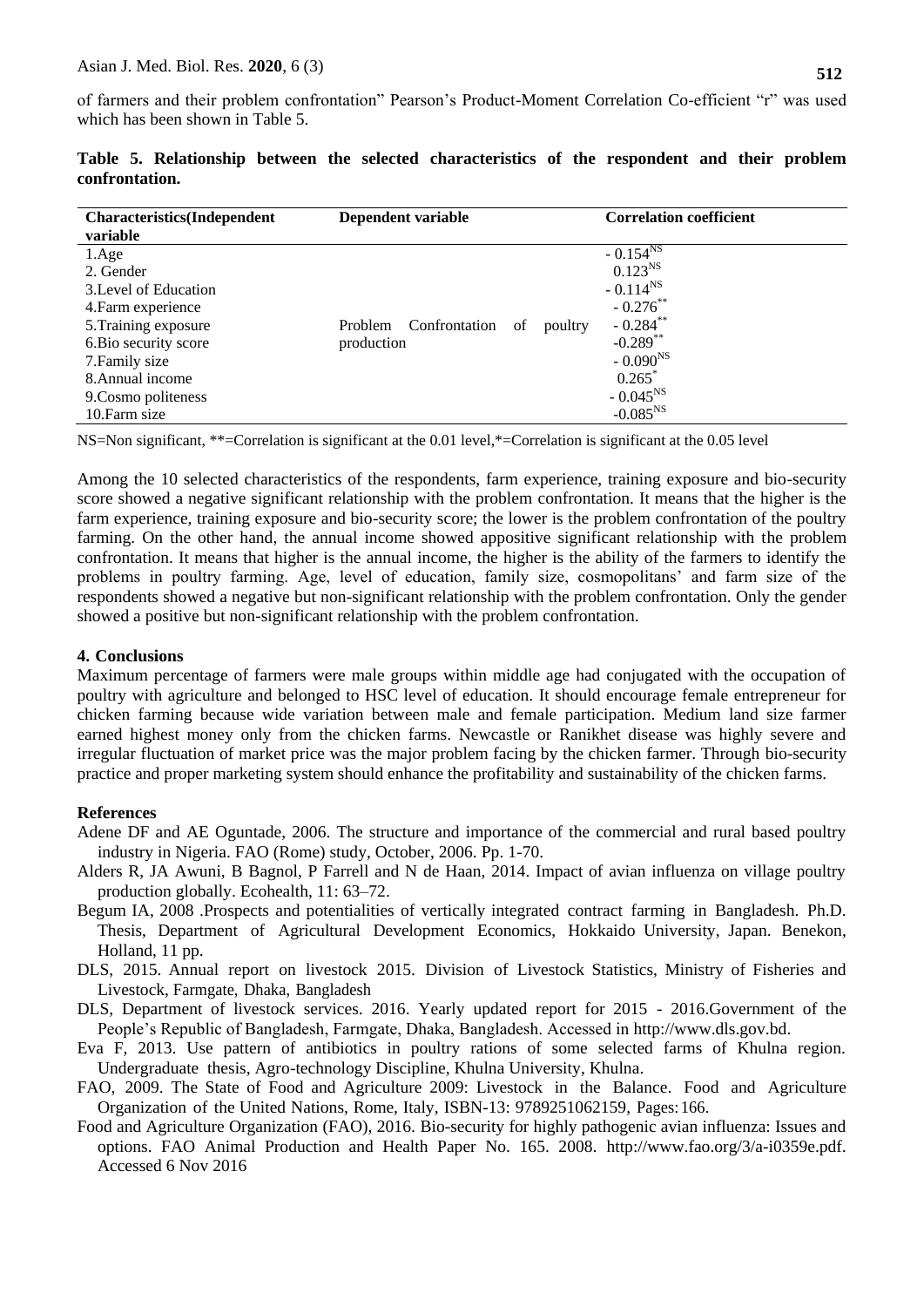of farmers and their problem confrontation" Pearson's Product-Moment Correlation Co-efficient "r" was used which has been shown in Table 5.

| <b>Characteristics</b> (Independent | Dependent variable                        | <b>Correlation coefficient</b> |
|-------------------------------------|-------------------------------------------|--------------------------------|
| variable                            |                                           |                                |
| 1.Age                               |                                           | $-0.154^{NS}$                  |
| 2. Gender                           |                                           | $0.123^{NS}$                   |
| 3. Level of Education               |                                           | $-0.114^{NS}$                  |
| 4. Farm experience                  |                                           | $-0.276$ **                    |
| 5. Training exposure                | Confrontation<br>Problem<br>poultry<br>οf | $-0.284$ **                    |
| 6. Bio security score               | production                                | $-0.289$ **                    |
| 7. Family size                      |                                           | $-0.090^{NS}$                  |
| 8. Annual income                    |                                           | $0.265$ <sup>*</sup>           |
| 9. Cosmo politeness                 |                                           | $-0.045^{NS}$                  |
| 10. Farm size                       |                                           | $-0.085^{NS}$                  |

|                |  |  | Table 5. Relationship between the selected characteristics of the respondent and their problem |  |  |  |
|----------------|--|--|------------------------------------------------------------------------------------------------|--|--|--|
| confrontation. |  |  |                                                                                                |  |  |  |

NS=Non significant, \*\*=Correlation is significant at the 0.01 level,\*=Correlation is significant at the 0.05 level

Among the 10 selected characteristics of the respondents, farm experience, training exposure and bio-security score showed a negative significant relationship with the problem confrontation. It means that the higher is the farm experience, training exposure and bio-security score; the lower is the problem confrontation of the poultry farming. On the other hand, the annual income showed appositive significant relationship with the problem confrontation. It means that higher is the annual income, the higher is the ability of the farmers to identify the problems in poultry farming. Age, level of education, family size, cosmopolitans' and farm size of the respondents showed a negative but non-significant relationship with the problem confrontation. Only the gender showed a positive but non-significant relationship with the problem confrontation.

## **4. Conclusions**

Maximum percentage of farmers were male groups within middle age had conjugated with the occupation of poultry with agriculture and belonged to HSC level of education. It should encourage female entrepreneur for chicken farming because wide variation between male and female participation. Medium land size farmer earned highest money only from the chicken farms. Newcastle or Ranikhet disease was highly severe and irregular fluctuation of market price was the major problem facing by the chicken farmer. Through bio-security practice and proper marketing system should enhance the profitability and sustainability of the chicken farms.

## **References**

- Adene DF and AE Oguntade, 2006. The structure and importance of the commercial and rural based poultry industry in Nigeria. FAO (Rome) study, October, 2006. Pp. 1-70.
- Alders R, JA Awuni, B Bagnol, P Farrell and N de Haan, 2014. Impact of avian influenza on village poultry production globally. Ecohealth, 11: 63–72.
- Begum IA, 2008 .Prospects and potentialities of vertically integrated contract farming in Bangladesh. Ph.D. Thesis, Department of Agricultural Development Economics, Hokkaido University, Japan. Benekon, Holland, 11 pp.
- DLS, 2015. Annual report on livestock 2015. Division of Livestock Statistics, Ministry of Fisheries and Livestock, Farmgate, Dhaka, Bangladesh
- DLS, Department of livestock services. 2016. Yearly updated report for 2015 2016.Government of the People's Republic of Bangladesh, Farmgate, Dhaka, Bangladesh. Accessed in [http://www.dls.gov.bd.](http://www.dls.gov.bd/)
- Eva F, 2013. Use pattern of antibiotics in poultry rations of some selected farms of Khulna region. Undergraduate thesis, Agro-technology Discipline, Khulna University, Khulna.
- FAO, 2009. The State of Food and Agriculture 2009: Livestock in the Balance. Food and Agriculture Organization of the United Nations, Rome, Italy, ISBN-13: 9789251062159, Pages: 166.
- Food and Agriculture Organization (FAO), 2016. Bio-security for highly pathogenic avian influenza: Issues and options. FAO Animal Production and Health Paper No. 165. 2008. [http://www.fao.org/3/a-i0359e.pdf.](http://www.fao.org/3/a-i0359e.pdf.%20Accessed%206%20Nov%202016)  [Accessed 6 Nov 2016](http://www.fao.org/3/a-i0359e.pdf.%20Accessed%206%20Nov%202016)